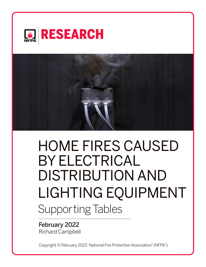



# HOME FIRES CAUSED BY ELECTRICAL DISTRIBUTION AND LIGHTING EQUIPMENT Supporting Tables

February 2022 Richard Campbell

Copyright © February 2022 National Fire Protection Association® (NFPA® )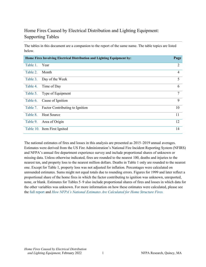# [Home Fires Caused by Electrical Distribution and Lighting](https://www.nfpa.org/News-and-Research/Data-research-and-tools/US-Fire-Problem/Cooking-equipment) Equipment: [Supporting Tables](https://www.nfpa.org/News-and-Research/Data-research-and-tools/US-Fire-Problem/Cooking-equipment)

The tables in this document are a companion to the report of the same name. The table topics are listed below.

|          | Home Fires Involving Electrical Distribution and Lighting Equipment by: | Page           |
|----------|-------------------------------------------------------------------------|----------------|
| Table 1. | Year                                                                    | $\overline{2}$ |
| Table 2. | Month                                                                   | 4              |
| Table 3. | Day of the Week                                                         | 5              |
| Table 4. | Time of Day                                                             | 6              |
| Table 5. | Type of Equipment                                                       | $\tau$         |
| Table 6. | Cause of Ignition                                                       | 9              |
| Table 7. | Factor Contributing to Ignition                                         | 10             |
| Table 8. | <b>Heat Source</b>                                                      | 11             |
| Table 9. | Area of Origin                                                          | 12             |
|          | Table 10. Item First Ignited                                            | 14             |

The national estimates of fires and losses in this analysis are presented as 2015–2019 annual averages. Estimates were derived from the US Fire Administration's National Fire Incident Reporting System (NFIRS) and NFPA's annual fire department experience survey and include proportional shares of unknown or missing data. Unless otherwise indicated, fires are rounded to the nearest 100, deaths and injuries to the nearest ten, and property loss to the nearest million dollars. Deaths in Table 1 only are rounded to the nearest one. Except for Table 1, property loss was not adjusted for inflation. Percentages were calculated on unrounded estimates. Sums might not equal totals due to rounding errors. Figures for 1999 and later reflect a proportional share of the home fires in which the factor contributing to ignition was unknown, unreported, none, or blank. Estimates for Tables 5–9 also include proportional shares of fires and losses in which data for the other variables was unknown. For more information on how these estimates were calculated, please see the [full report](https://www.nfpa.org/News-and-Research/Data-research-and-tools/Electrical/Electrical) and *[How NFPA's National Estimates Are Calculated for Home Structure Fires.](https://www.nfpa.org/%7E/media/Files/News%20and%20Research/Fire%20statistics%20and%20reports/NFPA-estimates-and-methodology/NationalEstimatesHomeFires.pdf)*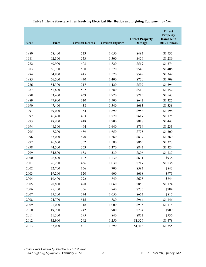<span id="page-2-0"></span>

| Year | <b>Fires</b> | <b>Civilian Deaths</b> | <b>Civilian Injuries</b> | <b>Direct Property</b><br><b>Damage</b> | <b>Direct</b><br><b>Property</b><br>Damage in<br>2019 Dollars |
|------|--------------|------------------------|--------------------------|-----------------------------------------|---------------------------------------------------------------|
|      |              |                        |                          |                                         |                                                               |
| 1980 | 68,400       | 523                    | 1,650                    | \$493                                   | \$1,532                                                       |
| 1981 | 62,300       | 553                    | 1,500                    | \$459                                   | \$1,289                                                       |
| 1982 | 60,900       | 408                    | 1,820                    | \$519                                   | \$1,374                                                       |
| 1983 | 56,700       | 500                    | 1,570                    | \$548                                   | \$1,406                                                       |
| 1984 | 54,800       | 445                    | 1,520                    | \$549                                   | \$1,349                                                       |
| 1985 | 56,500       | 470                    | 1,400                    | \$720                                   | \$1,709                                                       |
| 1986 | 54,300       | 717                    | 1,420                    | \$597                                   | \$1,394                                                       |
| 1987 | 51,600       | 522                    | 1,580                    | \$512                                   | \$1,152                                                       |
| 1988 | 53,400       | 439                    | 1,720                    | \$715                                   | \$1,547                                                       |
| 1989 | 47,900       | 610                    | 1,500                    | \$642                                   | \$1,325                                                       |
| 1990 | 47,400       | 438                    | 1,540                    | \$683                                   | \$1,338                                                       |
| 1991 | 49,000       | 354                    | 1,890                    | \$958                                   | \$1,798                                                       |
| 1992 | 46,400       | 403                    | 1,770                    | \$617                                   | \$1,125                                                       |
| 1993 | 48,900       | 418                    | 1,900                    | \$818                                   | \$1,448                                                       |
| 1994 | 48,300       | 464                    | 1,640                    | \$714                                   | \$1,233                                                       |
| 1995 | 47,200       | 489                    | 1,650                    | \$775                                   | \$1,300                                                       |
| 1996 | 47,000       | 470                    | 1,560                    | \$839                                   | \$1,369                                                       |
| 1997 | 46,600       | 352                    | 1,580                    | \$865                                   | \$1,378                                                       |
| 1998 | 44,500       | 363                    | 1,370                    | \$843                                   | \$1,324                                                       |
| 1999 | 34,800       | 183                    | 530                      | \$806                                   | \$1,237                                                       |
| 2000 | 26,600       | 122                    | 1,130                    | \$631                                   | \$938                                                         |
| 2001 | 26,200       | 436                    | 1,030                    | \$717                                   | \$1,036                                                       |
| 2002 | 22,700       | 166                    | 700                      | \$593                                   | \$843                                                         |
| 2003 | 19,200       | 320                    | 600                      | \$698                                   | \$971                                                         |
| 2004 | 19,400       | 292                    | 840                      | \$623                                   | \$844                                                         |
| 2005 | 20,800       | 498                    | 1,060                    | \$858                                   | \$1,124                                                       |
| 2006 | 25,100       | 366                    | 840                      | \$776                                   | \$984                                                         |
| 2007 | 25,200       | 274                    | 1,050                    | \$663                                   | \$817                                                         |
| 2008 | 24,700       | 515                    | 880                      | \$964                                   | \$1,146                                                       |
| 2009 | 21,000       | 318                    | 1,000                    | \$935                                   | \$1,114                                                       |
| 2010 | 19,900       | 242                    | 980                      | \$774                                   | \$909                                                         |
| 2011 | 21,300       | 295                    | 840                      | \$822                                   | \$936                                                         |
| 2012 | 32,900       | 292                    | 1,250                    | \$1,326                                 | \$1,478                                                       |
| 2013 | 37,000       | 601                    | 1,290                    | \$1,418                                 | \$1,555                                                       |

### **Table 1. Home Structure Fires Involving Electrical Distribution and Lighting Equipment by Year**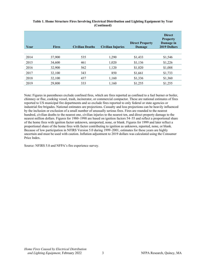| Year | <b>Fires</b> | <b>Civilian Deaths</b> | <b>Civilian Injuries</b> | <b>Direct Property</b><br>Damage | <b>Direct</b><br><b>Property</b><br>Damage in<br>2019 Dollars |
|------|--------------|------------------------|--------------------------|----------------------------------|---------------------------------------------------------------|
| 2014 | 37,900       | 535                    | 1,290                    | \$1,433                          | \$1,546                                                       |
| 2015 | 34,600       | 461                    | 1,020                    | \$1,136                          | \$1,226                                                       |
| 2016 | 32,900       | 562                    | 1,120                    | \$1,020                          | \$1,088                                                       |
| 2017 | 32,100       | 343                    | 850                      | \$1,661                          | \$1,733                                                       |
| 2018 | 32,100       | 437                    | 1,160                    | \$1,336                          | \$1,360                                                       |
| 2019 | 29,800       | 333                    | 1,160                    | \$1,255                          | \$1,255                                                       |

#### **Table 1. Home Structure Fires Involving Electrical Distribution and Lighting Equipment by Year (Continued)**

Note: Figures in parentheses exclude confined fires, which are fires reported as confined to a fuel burner or boiler, chimney or flue, cooking vessel, trash, incinerator, or commercial compactor. These are national estimates of fires reported to US municipal fire departments and so exclude fires reported to only federal or state agencies or industrial fire brigades. National estimates are projections. Casualty and loss projections can be heavily influenced by the inclusion or exclusion of a small number of unusually serious fires. Fires are rounded to the nearest hundred, civilian deaths to the nearest one, civilian injuries to the nearest ten, and direct property damage to the nearest million dollars. Figures for 1980–1998 are based on ignition factors 54–55 and reflect a proportional share of the home fires with ignition factor unknown, unreported, none, or blank. Figures for 1999 and later reflect a proportional share of the home fires with factor contributing to ignition as unknown, reported, none, or blank. Because of low participation in NFIRS Version 5.0 during 1999–2001, estimates for these years are highly uncertain and must be used with caution. Inflation adjustment to 2019 dollars was calculated using the Consumer Price Index.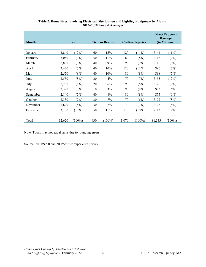<span id="page-4-0"></span>

| <b>Month</b> | <b>Fires</b> |           |     | <b>Civilian Deaths</b> |       | Civilian Injuries |         | <b>Direct Property</b><br>Damage<br>(in Millions) |
|--------------|--------------|-----------|-----|------------------------|-------|-------------------|---------|---------------------------------------------------|
|              |              |           |     |                        |       |                   |         |                                                   |
| January      | 3,840        | (12%)     | 60  | 15%                    | 120   | $(11\%)$          | \$144   | $(11\%)$                                          |
| February     | 3,080        | (9%)      | 50  | 11%                    | 80    | (8%)              | \$118   | (9%)                                              |
| March        | 2,830        | (9%)      | 40  | 9%                     | 90    | (9%)              | \$116   | (9%)                                              |
| April        | 2,430        | (7%)      | 40  | 10%                    | 120   | $(11\%)$          | \$96    | (7%)                                              |
| May          | 2,550        | (8%)      | 40  | 10%                    | 80    | (8%)              | \$98    | (7%)                                              |
| June         | 2,550        | (8%)      | 20  | 4%                     | 70    | (7%)              | \$155   | (12%)                                             |
| July         | 2,700        | (8%)      | 20  | 6%                     | 90    | (8%)              | \$126   | (9%)                                              |
| August       | 2,370        | (7%)      | 10  | 3%                     | 90    | (8%)              | \$83    | (6%)                                              |
| September    | 2,140        | (7%)      | 40  | $8\%$                  | 80    | (8%)              | \$75    | (6%)                                              |
| October      | 2,330        | (7%)      | 30  | 7%                     | 70    | (6%)              | \$102   | (8%)                                              |
| November     | 2,620        | (8%)      | 30  | 7%                     | 70    | (7%)              | \$106   | (8%)                                              |
| December     | 3,180        | $(10\%)$  | 50  | 11%                    | 110   | $(10\%)$          | \$113   | (9%)                                              |
|              |              |           |     |                        |       |                   |         |                                                   |
| Total        | 32,620       | $(100\%)$ | 430 | $(100\%)$              | 1.070 | $(100\%)$         | \$1,333 | $(100\%)$                                         |

#### **Table 2. Home Fires Involving Electrical Distribution and Lighting Equipment by Month: 2015–2019 Annual Averages**

Note: Totals may not equal sums due to rounding errors.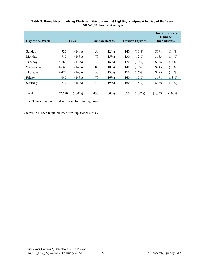| Day of the Week | <b>Fires</b> |           | <b>Civilian Deaths</b><br><b>Civilian Injuries</b> |           |       |           | <b>Direct Property</b><br>Damage<br>(in Millions) |           |
|-----------------|--------------|-----------|----------------------------------------------------|-----------|-------|-----------|---------------------------------------------------|-----------|
|                 |              |           |                                                    |           |       |           |                                                   |           |
| Sunday          | 4,720        | (14%)     | 50                                                 | (12%)     | 140   | (13%)     | \$191                                             | (14%)     |
| Monday          | 4,710        | (14%)     | 70                                                 | (15%)     | 130   | (12%)     | \$183                                             | (14%)     |
| Tuesday         | 4,560        | (14%)     | 70                                                 | (16%)     | 170   | (16%)     | \$186                                             | (14%)     |
| Wednesday       | 4,660        | (14%)     | 80                                                 | (18%)     | 140   | (13%)     | \$245                                             | (18%)     |
| Thursday        | 4,470        | (14%)     | 50                                                 | (13%)     | 170   | (16%)     | \$175                                             | (13%)     |
| Friday          | 4.640        | (14%)     | 70                                                 | (16%)     | 160   | (15%)     | \$178                                             | (13%)     |
| Saturday        | 4,870        | (15%)     | 40                                                 | (9%)      | 160   | (15%)     | \$176                                             | (13%)     |
|                 |              |           |                                                    |           |       |           |                                                   |           |
| Total           | 32,620       | $(100\%)$ | 430                                                | $(100\%)$ | 1.070 | $(100\%)$ | \$1,333                                           | $(100\%)$ |

#### <span id="page-5-0"></span>**Table 3. Home Fires Involving Electrical Distribution and Lighting Equipment by Day of the Week: 2015–2019 Annual Averages**

Note: Totals may not equal sums due to rounding errors.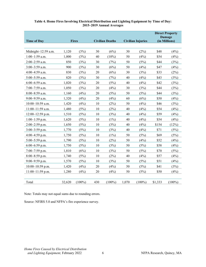<span id="page-6-0"></span>

| <b>Time of Day</b>  |        | <b>Fires</b> |     | <b>Civilian Deaths</b> |       | <b>Civilian Injuries</b> | <b>Direct Property</b><br><b>Damage</b><br>(in Millions) |           |
|---------------------|--------|--------------|-----|------------------------|-------|--------------------------|----------------------------------------------------------|-----------|
|                     |        |              |     |                        |       |                          |                                                          |           |
| Midnight-12:59 a.m. | 1,120  | (3%)         | 30  | (6%)                   | 30    | (2%)                     | \$48                                                     | (4%)      |
| $1:00-1:59$ a.m.    | 1,000  | (3%)         | 40  | $(10\%)$               | 50    | (4%)                     | \$54                                                     | (4%)      |
| 2:00-2:59 a.m.      | 850    | (3%)         | 30  | (7%)                   | 50    | (5%)                     | \$44                                                     | (3%)      |
| $3:00-3:59$ a.m.    | 900    | (3%)         | 30  | (6%)                   | 50    | (4%)                     | \$47                                                     | (4%)      |
| 4:00-4:59 a.m.      | 830    | (3%)         | 20  | (6%)                   | 30    | (3%)                     | \$33                                                     | (2%)      |
| $5:00 - 5:59$ a.m.  | 820    | (3%)         | 30  | (7%)                   | 40    | (4%)                     | \$43                                                     | (3%)      |
| $6:00-6:59$ a.m.    | 1,020  | (3%)         | 20  | (5%)                   | 40    | (4%)                     | \$42                                                     | (3%)      |
| 7:00-7:59 a.m.      | 1,050  | (3%)         | 20  | (4%)                   | 30    | (3%)                     | \$44                                                     | (3%)      |
| 8:00-8:59 a.m.      | 1,160  | (4%)         | 20  | (5%)                   | 50    | (5%)                     | \$44                                                     | (3%)      |
| $9:00-9:59$ a.m.    | 1,320  | (4%)         | 20  | (4%)                   | 60    | (6%)                     | \$50                                                     | (4%)      |
| $10:00-10:59$ a.m.  | 1,420  | (4%)         | 10  | (2%)                   | 50    | (4%)                     | \$46                                                     | (3%)      |
| $11:00-11:59$ a.m.  | 1,480  | (5%)         | 10  | (2%)                   | 40    | (4%)                     | \$54                                                     | (4%)      |
| $12:00-12:59$ p.m.  | 1,510  | (5%)         | 10  | (3%)                   | 40    | (4%)                     | \$59                                                     | (4%)      |
| $1:00-1:59$ p.m.    | 1,620  | (5%)         | 10  | $(1\%)$                | 40    | (4%)                     | \$54                                                     | (4%)      |
| $2:00-2:59$ p.m.    | 1,650  | (5%)         | 10  | (3%)                   | 40    | (4%)                     | \$154                                                    | (12%)     |
| $3:00-3:59$ p.m.    | 1,770  | (5%)         | 10  | (3%)                   | 40    | (4%)                     | \$71                                                     | (5%)      |
| 4:00-4:59 p.m.      | 1,750  | (5%)         | 10  | $(1\%)$                | 50    | (5%)                     | \$69                                                     | (5%)      |
| $5:00-5:59$ p.m.    | 1,790  | (5%)         | 10  | (2%)                   | 50    | (4%)                     | \$52                                                     | (4%)      |
| $6:00-6:59$ p.m.    | 1,750  | (5%)         | 10  | (3%)                   | 50    | (5%)                     | \$58                                                     | (4%)      |
| $7:00 - 7:59$ p.m.  | 1,810  | (6%)         | 10  | (3%)                   | 50    | (5%)                     | \$70                                                     | (5%)      |
| $8:00-8:59$ p.m.    | 1,740  | (5%)         | 10  | (2%)                   | 40    | (4%)                     | \$57                                                     | (4%)      |
| $9:00-9:59$ p.m.    | 1,570  | (5%)         | 10  | (3%)                   | 50    | (5%)                     | \$51                                                     | (4%)      |
| 10:00-10:59 p.m.    | 1,420  | (4%)         | 20  | (4%)                   | 50    | (5%)                     | \$41                                                     | (3%)      |
| $11:00-11:59$ p.m.  | 1,280  | (4%)         | 20  | (4%)                   | 50    | (5%)                     | \$50                                                     | (4%)      |
|                     |        |              |     |                        |       |                          |                                                          |           |
| Total               | 32,620 | $(100\%)$    | 430 | $(100\%)$              | 1,070 | $(100\%)$                | \$1,333                                                  | $(100\%)$ |

#### **Table 4. Home Fires Involving Electrical Distribution and Lighting Equipment by Time of Day: 2015–2019 Annual Averages**

Note: Totals may not equal sums due to rounding errors.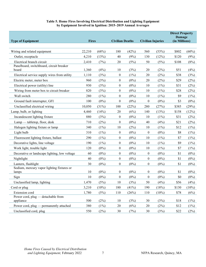#### **Table 5. Home Fires Involving Electrical Distribution and Lighting Equipment by Equipment Involved in Ignition: 2015–2019 Annual Averages**

<span id="page-7-0"></span>

| <b>Type of Equipment</b>                      | <b>Fires</b> |          | <b>Civilian Deaths</b> |         | <b>Civilian Injuries</b> |          | <b>Direct Property</b><br><b>Damage</b><br>(in Millions) |          |
|-----------------------------------------------|--------------|----------|------------------------|---------|--------------------------|----------|----------------------------------------------------------|----------|
|                                               |              |          |                        |         |                          |          |                                                          |          |
| Wiring and related equipment                  | 22,210       | (68%)    | 180                    | (42%)   | 560                      | (53%)    | \$802                                                    | $(60\%)$ |
| Outlet, receptacle                            | 4,210        | (13%)    | 40                     | (9%)    | 130                      | (12%)    | \$120                                                    | (9%)     |
| Electrical branch circuit                     | 2,410        | (7%)     | 20                     | (5%)    | 50                       | (5%)     | \$108                                                    | (8%)     |
| Panelboard, switchboard, circuit breaker      |              |          |                        |         |                          |          |                                                          |          |
| board                                         | 1,360        | (4%)     | 10                     | (3%)    | 20                       | (2%)     | \$51                                                     | (4%)     |
| Electrical service supply wires from utility  | 1,110        | (3%)     | $\boldsymbol{0}$       | $(1\%)$ | 20                       | (2%)     | \$38                                                     | (3%)     |
| Electric meter, meter box                     | 960          | (3%)     | $\boldsymbol{0}$       | $(0\%)$ | 20                       | (2%)     | \$29                                                     | (2%)     |
| Electrical power (utility) line               | 930          | (3%)     | $\boldsymbol{0}$       | $(0\%)$ | 10                       | $(1\%)$  | \$31                                                     | (2%)     |
| Wiring from meter box to circuit breaker      | 820          | (3%)     | $\boldsymbol{0}$       | $(0\%)$ | 10                       | $(1\%)$  | \$28                                                     | (2%)     |
| Wall switch                                   | 280          | $(1\%)$  | $\boldsymbol{0}$       | $(0\%)$ | 10                       | $(1\%)$  | \$9                                                      | $(1\%)$  |
| Ground fault interrupter, GFI                 | 100          | $(0\%)$  | $\boldsymbol{0}$       | $(0\%)$ | $\boldsymbol{0}$         | $(0\%)$  | \$3                                                      | $(0\%)$  |
| Unclassified electrical wiring                | 10,050       | (31%)    | 100                    | (22%)   | 280                      | (27%)    | \$385                                                    | (29%)    |
| Lamp, bulb, or lighting                       | 4,460        | (14%)    | 20                     | (6%)    | 140                      | (13%)    | \$158                                                    | (12%)    |
| Incandescent lighting fixture                 | 880          | (3%)     | 0                      | $(0\%)$ | 10                       | $(1\%)$  | \$31                                                     | (2%)     |
| Lamp — tabletop, floor, desk                  | 710          | (2%)     | $\boldsymbol{0}$       | $(0\%)$ | 40                       | (4%)     | \$21                                                     | (2%)     |
| Halogen lighting fixture or lamp              | 340          | $(1\%)$  | 10                     | (2%)    | 10                       | $(1\%)$  | \$12                                                     | $(1\%)$  |
| Light bulb                                    | 310          | $(1\%)$  | $\boldsymbol{0}$       | $(0\%)$ | $\boldsymbol{0}$         | $(0\%)$  | \$8                                                      | $(1\%)$  |
| Fluorescent lighting fixture, ballast         | 290          | $(1\%)$  | $\boldsymbol{0}$       | $(0\%)$ | 10                       | $(1\%)$  | \$7                                                      | (1%)     |
| Decorative lights, line voltage               | 190          | $(1\%)$  | $\boldsymbol{0}$       | $(0\%)$ | 10                       | $(1\%)$  | \$9                                                      | $(1\%)$  |
| Work light, trouble light                     | 120          | $(0\%)$  | $\boldsymbol{0}$       | $(0\%)$ | 10                       | $(1\%)$  | \$7                                                      | $(1\%)$  |
| Decorative or landscape lighting, low voltage | 60           | $(0\%)$  | $\boldsymbol{0}$       | $(0\%)$ | $\boldsymbol{0}$         | $(0\%)$  | \$1                                                      | $(0\%)$  |
| Nightlight                                    | 40           | $(0\%)$  | $\boldsymbol{0}$       | $(0\%)$ | $\boldsymbol{0}$         | $(0\%)$  | \$1                                                      | $(0\%)$  |
| Lantern, flashlight                           | 30           | $(0\%)$  | $\boldsymbol{0}$       | $(0\%)$ | $\boldsymbol{0}$         | $(0\%)$  | \$1                                                      | $(0\%)$  |
| Sodium, mercury vapor lighting fixtures or    |              |          |                        |         |                          |          |                                                          |          |
| lamps                                         | 10           | $(0\%)$  | $\boldsymbol{0}$       | $(0\%)$ | $\boldsymbol{0}$         | $(0\%)$  | \$1                                                      | $(0\%)$  |
| Sign                                          | 10           | $(0\%)$  | $\overline{0}$         | $(0\%)$ | $\boldsymbol{0}$         | $(0\%)$  | \$0                                                      | $(0\%)$  |
| Unclassified lamp, lighting                   | 1,470        | (5%)     | 10                     | (3%)    | 50                       | (4%)     | \$56                                                     | (4%)     |
| Cord or plug                                  | 3,210        | $(10\%)$ | 180                    | (41%)   | 190                      | (18%)    | \$130                                                    | (10%)    |
| Extension cord                                | 1,780        | (5%)     | 110                    | (26%)   | 110                      | $(10\%)$ | \$78                                                     | (6%)     |
| Power cord, plug — detachable from            |              |          |                        |         |                          |          |                                                          |          |
| appliance                                     | 500          | (2%)     | 10                     | (3%)    | 30                       | (3%)     | \$18                                                     | (1%)     |
| Power cord, plug — permanently attached       | 380          | $(1\%)$  | $20\,$                 | (6%)    | $20\,$                   | (2%)     | \$12                                                     | (1%)     |
| Unclassified cord, plug                       | 550          | (2%)     | 30                     | (7%)    | 30                       | (3%)     | \$22                                                     | (2%)     |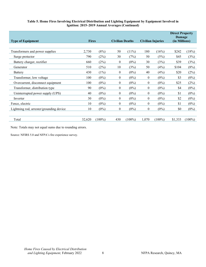#### **Table 5. Home Fires Involving Electrical Distribution and Lighting Equipment by Equipment Involved in Ignition: 2015–2019 Annual Averages (Continued)**

| <b>Type of Equipment</b>                 | <b>Fires</b> |           | <b>Civilian Deaths</b> |           |              | <b>Civilian Injuries</b> | <b>Direct Property</b><br>Damage<br>(in Millions) |           |
|------------------------------------------|--------------|-----------|------------------------|-----------|--------------|--------------------------|---------------------------------------------------|-----------|
|                                          |              |           |                        |           |              |                          |                                                   |           |
| Transformers and power supplies          | 2,730        | (8%)      | 50                     | $(11\%)$  | 180          | (16%)                    | \$242                                             | (18%)     |
| Surge protector                          | 790          | (2%)      | 30                     | (7%)      | 50           | (5%)                     | \$45                                              | (3%)      |
| Battery charger, rectifier               | 660          | (2%)      | 0                      | $(0\%)$   | 30           | (3%)                     | \$39                                              | (3%)      |
| Generator                                | 510          | (2%)      | 10                     | (3%)      | 50           | (4%)                     | \$104                                             | (8%)      |
| Battery                                  | 430          | $(1\%)$   | $\overline{0}$         | $(0\%)$   | 40           | (4%)                     | \$20                                              | (2%)      |
| Transformer, low voltage                 | 100          | $(0\%)$   | 0                      | $(0\%)$   | $\theta$     | $(0\%)$                  | \$3                                               | $(0\%)$   |
| Overcurrent, disconnect equipment        | 100          | $(0\%)$   | $\boldsymbol{0}$       | $(0\%)$   | $\theta$     | $(0\%)$                  | \$25                                              | (2%)      |
| Transformer, distribution type           | 90           | $(0\%)$   | 0                      | $(0\%)$   | $\mathbf{0}$ | $(0\%)$                  | \$4                                               | $(0\%)$   |
| Uninterrupted power supply (UPS)         | 40           | $(0\%)$   | $\boldsymbol{0}$       | $(0\%)$   | $\mathbf{0}$ | $(0\%)$                  | \$1                                               | $(0\%)$   |
| Inverter                                 | 30           | $(0\%)$   | $\overline{0}$         | $(0\%)$   | $\mathbf{0}$ | $(0\%)$                  | \$2                                               | $(0\%)$   |
| Fence, electric                          | 10           | $(0\%)$   | 0                      | $(0\%)$   | $\theta$     | $(0\%)$                  | \$1                                               | $(0\%)$   |
| Lightning rod, arrester/grounding device | 10           | $(0\%)$   | 0                      | $(0\%)$   | $\mathbf{0}$ | $(0\%)$                  | \$0                                               | $(0\%)$   |
|                                          |              |           |                        |           |              |                          |                                                   |           |
| Total                                    | 32,620       | $(100\%)$ | 430                    | $(100\%)$ | 1,070        | $(100\%)$                | \$1,333                                           | $(100\%)$ |

Note: Totals may not equal sums due to rounding errors.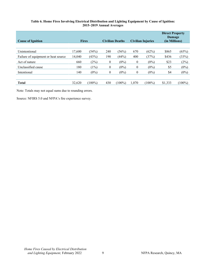#### **Table 6. Home Fires Involving Electrical Distribution and Lighting Equipment by Cause of Ignition: 2015–2019 Annual Averages**

<span id="page-9-0"></span>

| <b>Cause of Ignition</b>            | <b>Fires</b> |           |                  | <b>Civilian Deaths</b> |          | <b>Civilian Injuries</b> | <b>Direct Property</b><br><b>Damage</b><br>(in Millions) |           |
|-------------------------------------|--------------|-----------|------------------|------------------------|----------|--------------------------|----------------------------------------------------------|-----------|
|                                     |              |           |                  |                        |          |                          |                                                          |           |
| Unintentional                       | 17,600       | (54%)     | 240              | $(56\%)$               | 670      | (62%)                    | \$865                                                    | (65%)     |
| Failure of equipment or heat source | 14,040       | (43%)     | 190              | (44%)                  | 400      | (37%)                    | \$436                                                    | (33%)     |
| Act of nature                       | 660          | (2%)      | $\bf{0}$         | $(0\%)$                | $\theta$ | $(0\%)$                  | \$23                                                     | (2%)      |
| Unclassified cause                  | 180          | (1%)      | $\bf{0}$         | $(0\%)$                | $\theta$ | $(0\%)$                  | \$5                                                      | $(0\%)$   |
| Intentional                         | 140          | $(0\%)$   | $\boldsymbol{0}$ | $(0\%)$                | $\theta$ | $(0\%)$                  | \$4                                                      | $(0\%)$   |
|                                     |              |           |                  |                        |          |                          |                                                          |           |
| <b>Total</b>                        | 32,620       | $(100\%)$ | 430              | $(100\%)$              | 1,070    | $(100\%)$                | \$1,333                                                  | $(100\%)$ |

Note: Totals may not equal sums due to rounding errors.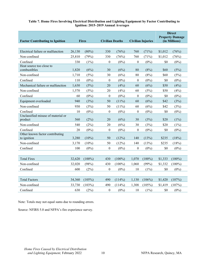| <b>Factor Contributing to Ignition</b>      |        | <b>Fires</b> |                  | <b>Civilian Deaths</b> |                  | <b>Civilian Injuries</b> |         | <b>Direct</b><br><b>Property Damage</b><br>(in Millions) |  |
|---------------------------------------------|--------|--------------|------------------|------------------------|------------------|--------------------------|---------|----------------------------------------------------------|--|
| Electrical failure or malfunction           | 26,130 | $(80\%)$     | 330              | (76%)                  | 760              | (71%)                    | \$1,012 | (76%)                                                    |  |
| Non-confined                                | 25,810 | (79%)        | 330              | (76%)                  | 760              | (71%)                    | \$1,012 | (76%)                                                    |  |
| Confined                                    | 330    | $(1\%)$      | $\boldsymbol{0}$ | $(0\%)$                | $\boldsymbol{0}$ | $(0\%)$                  | \$0     | $(0\%)$                                                  |  |
| Heat source too close to<br>combustibles    | 1,820  | (6%)         | 30               | (6%)                   | 80               | (8%)                     | \$60    | (5%)                                                     |  |
| Non-confined                                | 1,710  | (5%)         | 30               | (6%)                   | 80               | (8%)                     | \$60    | (5%)                                                     |  |
| Confined                                    | 110    | $(0\%)$      | $\boldsymbol{0}$ | $(0\%)$                | $\boldsymbol{0}$ | $(0\%)$                  | \$0     | $(0\%)$                                                  |  |
| Mechanical failure or malfunction           | 1,630  | (5%)         | 20               | (4%)                   | 60               | (6%)                     | \$50    | (4%)                                                     |  |
| Non-confined                                | 1,570  | (5%)         | 20               | (4%)                   | 60               | (5%)                     | \$50    | (4%)                                                     |  |
| Confined                                    | 60     | $(0\%)$      | $\boldsymbol{0}$ | $(0\%)$                | $\boldsymbol{0}$ | $(0\%)$                  | \$0     | $(0\%)$                                                  |  |
| Equipment overloaded                        | 940    | (3%)         | 50               | $(11\%)$               | 60               | (6%)                     | \$42    | (3%)                                                     |  |
| Non-confined                                | 930    | (3%)         | 50               | $(11\%)$               | 60               | (6%)                     | \$42    | (3%)                                                     |  |
| Confined                                    | 10     | $(0\%)$      | $\boldsymbol{0}$ | $(0\%)$                | $\boldsymbol{0}$ | $(0\%)$                  | \$0     | $(0\%)$                                                  |  |
| Unclassified misuse of material or          |        |              |                  |                        |                  |                          |         |                                                          |  |
| product                                     | 560    | (2%)         | 20               | (6%)                   | 30               | (3%)                     | \$20    | $(1\%)$                                                  |  |
| Non-confined                                | 540    | (2%)         | 20               | (6%)                   | 30               | (3%)                     | \$20    | $(1\%)$                                                  |  |
| Confined<br>Other known factor contributing | 20     | $(0\%)$      | $\boldsymbol{0}$ | $(0\%)$                | $\boldsymbol{0}$ | $(0\%)$                  | \$0     | $(0\%)$                                                  |  |
| to ignition                                 | 3,280  | $(10\%)$     | 50               | (12%)                  | 140              | (13%)                    | \$235   | (18%)                                                    |  |
| Non-confined                                | 3,170  | $(10\%)$     | 50               | (12%)                  | 140              | (13%)                    | \$235   | (18%)                                                    |  |
| Confined                                    | 100    | $(0\%)$      | $\theta$         | $(0\%)$                | $\theta$         | $(0\%)$                  | \$0     | $(0\%)$                                                  |  |
|                                             |        |              |                  |                        |                  |                          |         |                                                          |  |
| <b>Total Fires</b>                          | 32,620 | $(100\%)$    | 430              | $(100\%)$              | 1,070            | $(100\%)$                | \$1,333 | $(100\%)$                                                |  |
| Non-confined                                | 32,020 | (98%)        | 430              | $(100\%)$              | 1,060            | (99%)                    | \$1,332 | $(100\%)$                                                |  |
| Confined                                    | 600    | (2%)         | $\boldsymbol{0}$ | $(0\%)$                | 10               | $(1\%)$                  | \$0     | $(0\%)$                                                  |  |
|                                             |        |              |                  |                        |                  |                          |         |                                                          |  |
| <b>Total Factors</b>                        | 34,360 | (105%)       | 490              | (114%)                 | 1,130            | $(106\%)$                | \$1,420 | (107%)                                                   |  |
| Non-confined                                | 33,730 | (103%)       | 490              | (114%)                 | 1,308            | (105%)                   | \$1,419 | (107%)                                                   |  |
| Confined                                    | 630    | (2%)         | $\boldsymbol{0}$ | $(0\%)$                | 10               | $(1\%)$                  | \$0     | $(0\%)$                                                  |  |

#### <span id="page-10-0"></span>**Table 7. Home Fires Involving Electrical Distribution and Lighting Equipment by Factor Contributing to Ignition: 2015–2019 Annual Averages**

Note: Totals may not equal sums due to rounding errors.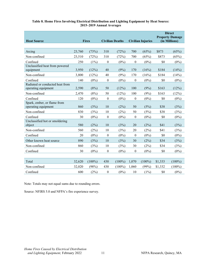| <b>Heat Source</b>                                     | <b>Fires</b> |           | <b>Civilian Deaths</b> |           |                  | <b>Civilian Injuries</b> |         | <b>Direct</b><br><b>Property Damage</b><br>(in Millions) |
|--------------------------------------------------------|--------------|-----------|------------------------|-----------|------------------|--------------------------|---------|----------------------------------------------------------|
|                                                        |              |           |                        |           |                  |                          |         |                                                          |
| Arcing                                                 | 23,760       | (73%)     | 310                    | (72%)     | 700              | (65%)                    | \$873   | (65%)                                                    |
| Non-confined                                           | 23,510       | (72%)     | 310                    | (72%)     | 700              | (65%)                    | \$873   | (65%)                                                    |
| Confined                                               | 250          | $(1\%)$   | $\boldsymbol{0}$       | $(0\%)$   | $\boldsymbol{0}$ | $(0\%)$                  | \$0     | $(0\%)$                                                  |
| Unclassified heat from powered<br>equipment            | 3,950        | (12%)     | 40                     | (9%)      | 170              | (16%)                    | \$184   | (14%)                                                    |
| Non-confined                                           | 3,800        | (12%)     | 40                     | (9%)      | 170              | (16%)                    | \$184   | (14%)                                                    |
| Confined                                               | 140          | $(0\%)$   | $\boldsymbol{0}$       | $(0\%)$   | $\boldsymbol{0}$ | $(0\%)$                  | \$0     | $(0\%)$                                                  |
| Radiated or conducted heat from<br>operating equipment | 2,590        | (8%)      | 50                     | (12%)     | 100              | (9%)                     | \$163   | (12%)                                                    |
| Non-confined                                           | 2,470        | (8%)      | 50                     | (12%)     | 100              | (9%)                     | \$163   | (12%)                                                    |
| Confined                                               | 120          | $(0\%)$   | $\boldsymbol{0}$       | $(0\%)$   | $\boldsymbol{0}$ | $(0\%)$                  | \$0     | $(0\%)$                                                  |
| Spark, ember, or flame from<br>operating equipment     | 860          | (3%)      | 10                     | (2%)      | 50               | (5%)                     | \$38    | (3%)                                                     |
| Non-confined                                           | 830          | (3%)      | 10                     | (2%)      | 50               | (5%)                     | \$38    | (3%)                                                     |
| Confined                                               | 30           | $(0\%)$   | $\boldsymbol{0}$       | $(0\%)$   | $\boldsymbol{0}$ | $(0\%)$                  | \$0     | $(0\%)$                                                  |
| Unclassified hot or smoldering<br>object               | 580          | (2%)      | 10                     | (3%)      | 20               | (2%)                     | \$41    | (3%)                                                     |
| Non-confined                                           | 560          | (2%)      | 10                     | (3%)      | 20               | (2%)                     | \$41    | (3%)                                                     |
| Confined                                               | 20           | $(0\%)$   | $\boldsymbol{0}$       | $(0\%)$   | $\boldsymbol{0}$ | $(0\%)$                  | \$0     | $(0\%)$                                                  |
| Other known heat source                                | 890          | (3%)      | 10                     | (3%)      | 30               | (2%)                     | \$34    | (3%)                                                     |
| Non-confined                                           | 860          | (3%)      | 10                     | (3%)      | 30               | (2%)                     | \$34    | (3%)                                                     |
| Confined                                               | 30           | $(0\%)$   | $\boldsymbol{0}$       | $(0\%)$   | $\boldsymbol{0}$ | $(0\%)$                  | \$0     | $(0\%)$                                                  |
|                                                        |              |           |                        |           |                  |                          |         |                                                          |
| Total                                                  | 32,620       | $(100\%)$ | 430                    | $(100\%)$ | 1,070            | $(100\%)$                | \$1,333 | $(100\%)$                                                |
| Non-confined                                           | 32,020       | (98%)     | 430                    | $(100\%)$ | 1,060            | (99%)                    | \$1,332 | $(100\%)$                                                |
| Confined                                               | 600          | (2%)      | $\boldsymbol{0}$       | $(0\%)$   | 10               | $(1\%)$                  | \$0     | $(0\%)$                                                  |

#### <span id="page-11-0"></span>**Table 8. Home Fires Involving Electrical Distribution and Lighting Equipment by Heat Source: 2015–2019 Annual Averages**

Note: Totals may not equal sums due to rounding errors.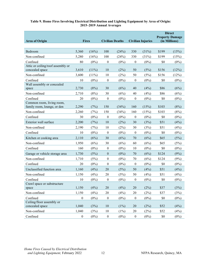#### <span id="page-12-0"></span>**Table 9. Home Fires Involving Electrical Distribution and Lighting Equipment by Area of Origin: 2015–2019 Annual Averages**

| <b>Area of Origin</b>                  |                  | <b>Fires</b> |                  | <b>Civilian Deaths</b> |                  | <b>Civilian Injuries</b> | <b>Direct</b><br><b>Property Damage</b><br>(in Millions) |         |
|----------------------------------------|------------------|--------------|------------------|------------------------|------------------|--------------------------|----------------------------------------------------------|---------|
|                                        |                  |              |                  |                        |                  |                          |                                                          |         |
| Bedroom                                | 5,360            | (16%)        | 100              | (24%)                  | 330              | (31%)                    | \$199                                                    | (15%)   |
| Non-confined                           | 5,280            | (16%)        | 100              | (24%)                  | 330              | (31%)                    | \$199                                                    | (15%)   |
| Confined                               | 80               | $(0\%)$      | $\boldsymbol{0}$ | $(0\%)$                | $\boldsymbol{0}$ | $(0\%)$                  | \$0                                                      | $(0\%)$ |
| Attic or ceiling/roof assembly or      |                  |              |                  |                        |                  |                          |                                                          |         |
| concealed space                        | 3,610            | $(11\%)$     | 10               | (2%)                   | 50               | (5%)                     | \$156                                                    | (12%)   |
| Non-confined                           | 3,600            | $(11\%)$     | 10               | (2%)                   | 50               | (5%)                     | \$156                                                    | (12%)   |
| Confined<br>Wall assembly or concealed | 10               | $(0\%)$      | $\boldsymbol{0}$ | $(0\%)$                | $\boldsymbol{0}$ | $(0\%)$                  | \$0                                                      | $(0\%)$ |
| space                                  | 2,730            | (8%)         | 30               | (6%)                   | 40               | (4%)                     | \$86                                                     | (6%)    |
| Non-confined                           | 2,710            | (8%)         | 30               | (6%)                   | 40               | (4%)                     | \$86                                                     | (6%)    |
| Confined                               | 20               | $(0\%)$      | $\boldsymbol{0}$ | $(0\%)$                | $\boldsymbol{0}$ | $(0\%)$                  | \$0                                                      | $(0\%)$ |
| Common room, living room,              |                  |              |                  |                        |                  |                          |                                                          |         |
| family room, lounge, or den            | 2,290            | (7%)         | 150              | (34%)                  | 160              | (15%)                    | \$103                                                    | (8%)    |
| Non-confined                           | 2,260            | (7%)         | 150              | (34%)                  | 160              | (15%)                    | \$103                                                    | (8%)    |
| Confined                               | 30               | $(0\%)$      | $\boldsymbol{0}$ | $(0\%)$                | $\boldsymbol{0}$ | $(0\%)$                  | \$0                                                      | $(0\%)$ |
| Exterior wall surface                  | 2,200            | (7%)         | 10               | (2%)                   | 30               | (3%)                     | \$51                                                     | (4%)    |
| Non-confined                           | 2,190            | (7%)         | 10               | (2%)                   | 30               | (3%)                     | \$51                                                     | (4%)    |
| Confined                               | 10               | $(0\%)$      | $\boldsymbol{0}$ | $(0\%)$                | $\boldsymbol{0}$ | $(0\%)$                  | \$0                                                      | $(0\%)$ |
| Kitchen or cooking area                | 2,110            | (6%)         | 30               | (6%)                   | 70               | (6%)                     | \$65                                                     | (5%)    |
| Non-confined                           | 1,950            | (6%)         | 30               | (6%)                   | 60               | (6%)                     | \$65                                                     | (5%)    |
| Confined                               | 160              | $(0\%)$      | $\boldsymbol{0}$ | $(0\%)$                | 10               | $(0\%)$                  | \$0                                                      | $(0\%)$ |
| Garage or vehicle storage area         | 1,730            | (5%)         | $\boldsymbol{0}$ | $(0\%)$                | 70               | (6%)                     | \$124                                                    | (9%)    |
| Non-confined                           | 1,710            | (5%)         | $\boldsymbol{0}$ | $(0\%)$                | 70               | (6%)                     | \$124                                                    | (9%)    |
| Confined                               | 20               | $(0\%)$      | $\boldsymbol{0}$ | $(0\%)$                | $\boldsymbol{0}$ | $(0\%)$                  | \$0                                                      | $(0\%)$ |
| Unclassified function area             | 1,160            | (4%)         | 20               | (5%)                   | 50               | (4%)                     | \$51                                                     | (4%)    |
| Non-confined                           | 1,150            | (4%)         | 20               | (5%)                   | 50               | (4%)                     | \$51                                                     | (4%)    |
| Confined                               | 10               | $(0\%)$      | $\boldsymbol{0}$ | $(0\%)$                | $\boldsymbol{0}$ | $(0\%)$                  | \$0                                                      | $(0\%)$ |
| Crawl space or substructure            | 1,150            | (4%)         | 20               | (4%)                   | $20\,$           | (2%)                     | \$37                                                     | (3%)    |
| space<br>Non-confined                  | 1,150            | (4%)         | $20\,$           | (4%)                   | $20\,$           | (2%)                     | \$37                                                     | (3%)    |
|                                        |                  |              |                  |                        |                  |                          |                                                          |         |
| Confined<br>Ceiling/floor assembly or  | $\boldsymbol{0}$ | $(0\%)$      | $\boldsymbol{0}$ | $(0\%)$                | $\boldsymbol{0}$ | $(0\%)$                  | \$0                                                      | $(0\%)$ |
| concealed space                        | 1,040            | (3%)         | 10               | $(1\%)$                | $20\,$           | (2%)                     | \$52                                                     | (4%)    |
| Non-confined                           | 1,040            | (3%)         | 10               | (1%)                   | $20\,$           | (2%)                     | \$52                                                     | (4%)    |
| Confined                               | $\boldsymbol{0}$ | $(0\%)$      | $\boldsymbol{0}$ | $(0\%)$                | $\boldsymbol{0}$ | $(0\%)$                  | \$0                                                      | $(0\%)$ |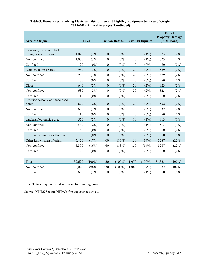| <b>Area of Origin</b>                             | <b>Fires</b> |           | <b>Civilian Deaths</b> |           | <b>Civilian Injuries</b> |           | <b>Direct</b><br><b>Property Damage</b><br>(in Millions) |           |
|---------------------------------------------------|--------------|-----------|------------------------|-----------|--------------------------|-----------|----------------------------------------------------------|-----------|
|                                                   |              |           |                        |           |                          |           |                                                          |           |
| Lavatory, bathroom, locker<br>room, or check room | 1,020        | (3%)      | $\boldsymbol{0}$       | $(0\%)$   | 10                       | $(1\%)$   | \$23                                                     | (2%)      |
| Non-confined                                      | 1,000        | (3%)      | $\boldsymbol{0}$       | $(0\%)$   | 10                       | $(1\%)$   | \$23                                                     | (2%)      |
| Confined                                          | 20           | $(0\%)$   | $\boldsymbol{0}$       | $(0\%)$   | $\boldsymbol{0}$         | $(0\%)$   | \$0                                                      | $(0\%)$   |
| Laundry room or area                              | 960          | (3%)      | $\mathbf{0}$           | $(0\%)$   | 20                       | (2%)      | \$29                                                     | (2%)      |
| Non-confined                                      | 930          | (3%)      | $\boldsymbol{0}$       | $(0\%)$   | 20                       | (2%)      | \$29                                                     | (2%)      |
| Confined                                          | 30           | $(0\%)$   | $\boldsymbol{0}$       | $(0\%)$   | $\theta$                 | $(0\%)$   | \$0                                                      | $(0\%)$   |
| Closet                                            | 640          | (2%)      | $\boldsymbol{0}$       | $(0\%)$   | 20                       | (2%)      | \$23                                                     | (2%)      |
| Non-confined                                      | 630          | (2%)      | $\boldsymbol{0}$       | $(0\%)$   | 20                       | (2%)      | \$23                                                     | (2%)      |
| Confined                                          | 10           | $(0\%)$   | $\boldsymbol{0}$       | $(0\%)$   | $\boldsymbol{0}$         | $(0\%)$   | \$0                                                      | $(0\%)$   |
| Exterior balcony or unenclosed                    |              |           |                        |           |                          |           |                                                          |           |
| porch                                             | 620          | (2%)      | $\boldsymbol{0}$       | $(0\%)$   | 20                       | (2%)      | \$32                                                     | (2%)      |
| Non-confined                                      | 600          | (2%)      | $\boldsymbol{0}$       | $(0\%)$   | 20                       | (2%)      | \$32                                                     | (2%)      |
| Confined                                          | 10           | $(0\%)$   | $\boldsymbol{0}$       | $(0\%)$   | $\boldsymbol{0}$         | $(0\%)$   | \$0                                                      | $(0\%)$   |
| Unclassified outside area                         | 570          | (2%)      | $\mathbf{0}$           | $(0\%)$   | 10                       | $(1\%)$   | \$13                                                     | $(1\%)$   |
| Non-confined                                      | 530          | (2%)      | $\boldsymbol{0}$       | $(0\%)$   | 10                       | $(1\%)$   | \$13                                                     | $(1\%)$   |
| Confined                                          | 40           | $(0\%)$   | $\boldsymbol{0}$       | $(0\%)$   | $\boldsymbol{0}$         | $(0\%)$   | \$0                                                      | $(0\%)$   |
| Confined chimney or flue fire                     | 30           | $(0\%)$   | $\mathbf{0}$           | $(0\%)$   | $\boldsymbol{0}$         | $(0\%)$   | \$0                                                      | $(0\%)$   |
| Other known area of origin                        | 5,420        | (17%)     | 60                     | (13%)     | 150                      | (14%)     | \$287                                                    | (22%)     |
| Non-confined                                      | 5,300        | (16%)     | 60                     | (13%)     | 150                      | (14%)     | \$287                                                    | (22%)     |
| Confined                                          | 120          | $(0\%)$   | $\theta$               | $(0\%)$   | $\theta$                 | $(0\%)$   | \$0                                                      | $(0\%)$   |
|                                                   |              |           |                        |           |                          |           |                                                          |           |
| Total                                             | 32,620       | $(100\%)$ | 430                    | $(100\%)$ | 1,070                    | $(100\%)$ | \$1,333                                                  | $(100\%)$ |
| Non-confined                                      | 32,020       | (98%)     | 430                    | $(100\%)$ | 1,060                    | (99%)     | \$1,332                                                  | $(100\%)$ |
| Confined                                          | 600          | (2%)      | $\boldsymbol{0}$       | $(0\%)$   | 10                       | $(1\%)$   | \$0                                                      | $(0\%)$   |

#### **Table 9. Home Fires Involving Electrical Distribution and Lighting Equipment by Area of Origin: 2015–2019 Annual Averages (Continued)**

Note: Totals may not equal sums due to rounding errors.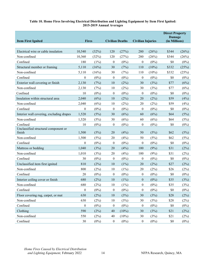#### **Table 10. Home Fires Involving Electrical Distribution and Lighting Equipment by Item First Ignited: 2015-2019 Annual Averages**

<span id="page-14-0"></span>

|                                                |                  |         |                        |          |                          |          | <b>Direct Property</b><br><b>Damage</b> |         |
|------------------------------------------------|------------------|---------|------------------------|----------|--------------------------|----------|-----------------------------------------|---------|
| <b>Item First Ignited</b>                      | <b>Fires</b>     |         | <b>Civilian Deaths</b> |          | <b>Civilian Injuries</b> |          | (in Millions)                           |         |
| Electrical wire or cable insulation            | 10,540           | (32%)   | 120                    | (27%)    | 280                      | (26%)    | \$344                                   | (26%)   |
| Non-confined                                   | 10,360           | (32%)   | 120                    | (27%)    | 280                      | (26%)    | \$344                                   | (26%)   |
| Confined                                       | 180              | $(1\%)$ | $\theta$               | $(0\%)$  | 0                        | $(0\%)$  | \$0                                     | $(0\%)$ |
| Structural member or framing                   | 5,110            | (16%)   | 30                     | (7%)     | 110                      | $(10\%)$ | \$332                                   | (25%)   |
| Non-confined                                   | 5,110            | (16%)   | 30                     | (7%)     | 110                      | $(10\%)$ | \$332                                   | (25%)   |
| Confined                                       | $\theta$         | $(0\%)$ | $\theta$               | $(0\%)$  | $\boldsymbol{0}$         | $(0\%)$  | \$0                                     | $(0\%)$ |
| Exterior wall covering or finish               | 2,130            | (7%)    | 10                     | (2%)     | 30                       | (3%)     | \$77                                    | (6%)    |
| Non-confined                                   | 2,130            | (7%)    | 10                     | (2%)     | 30                       | (3%)     | \$77                                    | (6%)    |
| Confined                                       | 10               | $(0\%)$ | 0                      | $(0\%)$  | $\boldsymbol{0}$         | $(0\%)$  | \$0                                     | $(0\%)$ |
| Insulation within structural area              | 2,040            | (6%)    | 10                     | (2%)     | 20                       | (2%)     | \$59                                    | (4%)    |
| Non-confined                                   | 2,040            | (6%)    | 10                     | (2%)     | 20                       | (2%)     | \$59                                    | (4%)    |
| Confined                                       | $\boldsymbol{0}$ | $(0\%)$ | $\boldsymbol{0}$       | $(0\%)$  | $\boldsymbol{0}$         | $(0\%)$  | \$0                                     | $(0\%)$ |
| Interior wall covering, excluding drapes       | 1,520            | (5%)    | 30                     | (6%)     | 60                       | (6%)     | \$64                                    | (5%)    |
| Non-confined                                   | 1,520            | (5%)    | 30                     | (6%)     | 60                       | (6%)     | \$64                                    | (5%)    |
| Confined                                       | 10               | $(0\%)$ | $\theta$               | $(0\%)$  | 0                        | $(0\%)$  | \$0                                     | $(0\%)$ |
| Unclassified structural component or<br>finish | 1,500            | (5%)    | 20                     | (4%)     | 50                       | (5%)     | \$62                                    | (5%)    |
| Non-confined                                   | 1,500            | (5%)    | 20                     | (4%)     | 50                       | (5%)     | \$62                                    | (5%)    |
| Confined                                       | $\mathbf{0}$     | $(0\%)$ | $\theta$               | $(0\%)$  | 0                        | $(0\%)$  | \$0                                     | $(0\%)$ |
| Mattress or bedding                            | 1,040            | (3%)    | 20                     | (4%)     | 100                      | (9%)     | \$31                                    | (2%)    |
| Non-confined                                   | 1,010            | (3%)    | 20                     | (4%)     | 100                      | (9%)     | \$31                                    | (2%)    |
| Confined                                       | 30               | $(0\%)$ | $\boldsymbol{0}$       | $(0\%)$  | 0                        | $(0\%)$  | \$0                                     | $(0\%)$ |
| Unclassified item first ignited                | 810              | (2%)    | 10                     | (1%)     | 20                       | (2%)     | \$27                                    | (2%)    |
| Non-confined                                   | 800              | (2%)    | 10                     | (1%)     | 20                       | (2%)     | \$26                                    | (2%)    |
| Confined                                       | 20               | $(0\%)$ | 0                      | $(0\%)$  | 0                        | $(0\%)$  | \$0                                     | $(0\%)$ |
| Interior ceiling cover or finish               | 680              | (2%)    | 10                     | $(1\%)$  | $\boldsymbol{0}$         | $(0\%)$  | \$35                                    | (3%)    |
| Non-confined                                   | 680              | (2%)    | 10                     | $(1\%)$  | $\boldsymbol{0}$         | $(0\%)$  | \$35                                    | (3%)    |
| Confined                                       | $\boldsymbol{0}$ | $(0\%)$ | $\boldsymbol{0}$       | $(0\%)$  | $\boldsymbol{0}$         | $(0\%)$  | \$0                                     | $(0\%)$ |
| Floor covering rug, carpet, or mat             | 630              | (2%)    | 10                     | (3%)     | 30                       | (3%)     | \$28                                    | (2%)    |
| Non-confined                                   | 630              | (2%)    | 10                     | (3%)     | 30                       | (3%)     | \$28                                    | (2%)    |
| Confined                                       | $\boldsymbol{0}$ | $(0\%)$ | $\boldsymbol{0}$       | $(0\%)$  | $\boldsymbol{0}$         | $(0\%)$  | \$0                                     | $(0\%)$ |
| Clothing                                       | 590              | (2%)    | 40                     | $(10\%)$ | 30                       | (3%)     | \$21                                    | (2%)    |
| Non-confined                                   | 550              | (2%)    | 40                     | $(10\%)$ | 30                       | (3%)     | \$21                                    | (2%)    |
| Confined                                       | $30\,$           | $(0\%)$ | $\boldsymbol{0}$       | $(0\%)$  | $\boldsymbol{0}$         | $(0\%)$  | \$0                                     | $(0\%)$ |